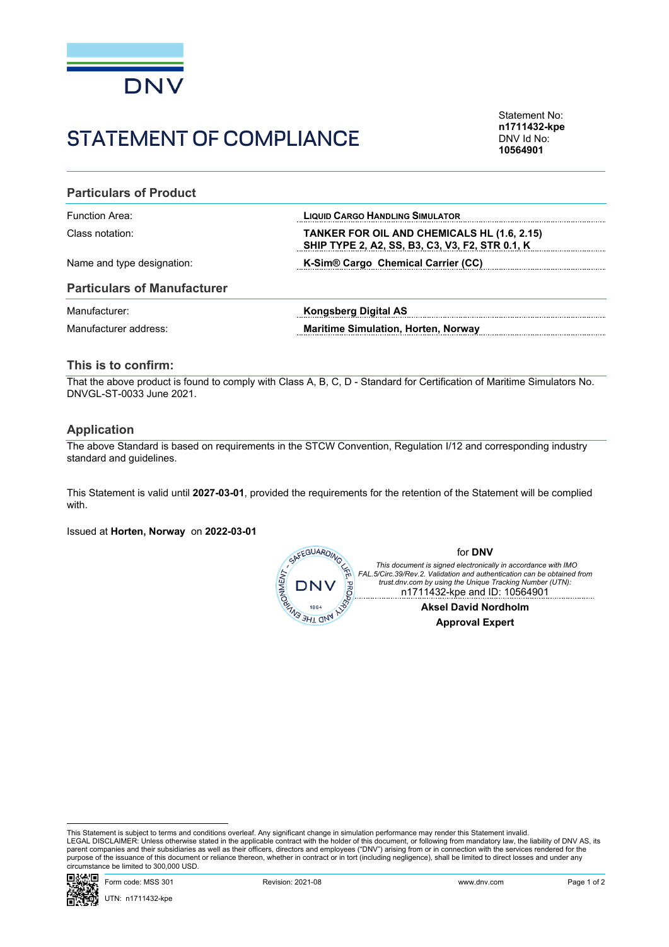

# STATEMENT OF COMPLIANCE

Statement No: **n1711432-kpe** DNV Id No: **10564901**

## **Particulars of Product**

| Function Area:             | <b>LIQUID CARGO HANDLING SIMULATOR</b>                                                                |
|----------------------------|-------------------------------------------------------------------------------------------------------|
| Class notation:            | <b>TANKER FOR OIL AND CHEMICALS HL (1.6, 2.15)</b><br>SHIP TYPE 2, A2, SS, B3, C3, V3, F2, STR 0.1, K |
| Name and type designation: | K-Sim® Cargo Chemical Carrier (CC)                                                                    |

#### **Particulars of Manufacturer**

| Manufacturer:         | Kongsberg Digital AS                       |
|-----------------------|--------------------------------------------|
| Manufacturer address: | <b>Maritime Simulation, Horten, Norway</b> |

# **This is to confirm:**

That the above product is found to comply with Class A, B, C, D - Standard for Certification of Maritime Simulators No. DNVGL-ST-0033 June 2021.

## **Application**

The above Standard is based on requirements in the STCW Convention, Regulation I/12 and corresponding industry standard and guidelines.

This Statement is valid until **2027-03-01**, provided the requirements for the retention of the Statement will be complied with.

Issued at **Horten, Norway** on **2022-03-01**



This Statement is subject to terms and conditions overleaf. Any significant change in simulation performance may render this Statement invalid.<br>LEGAL DISCLAIMER: Unless otherwise stated in the applicable contract with the purpose of the issuance of this document or reliance thereon, whether in contract or in tort (including negligence), shall be limited to direct losses and under any circumstance be limited to 300,000 USD.